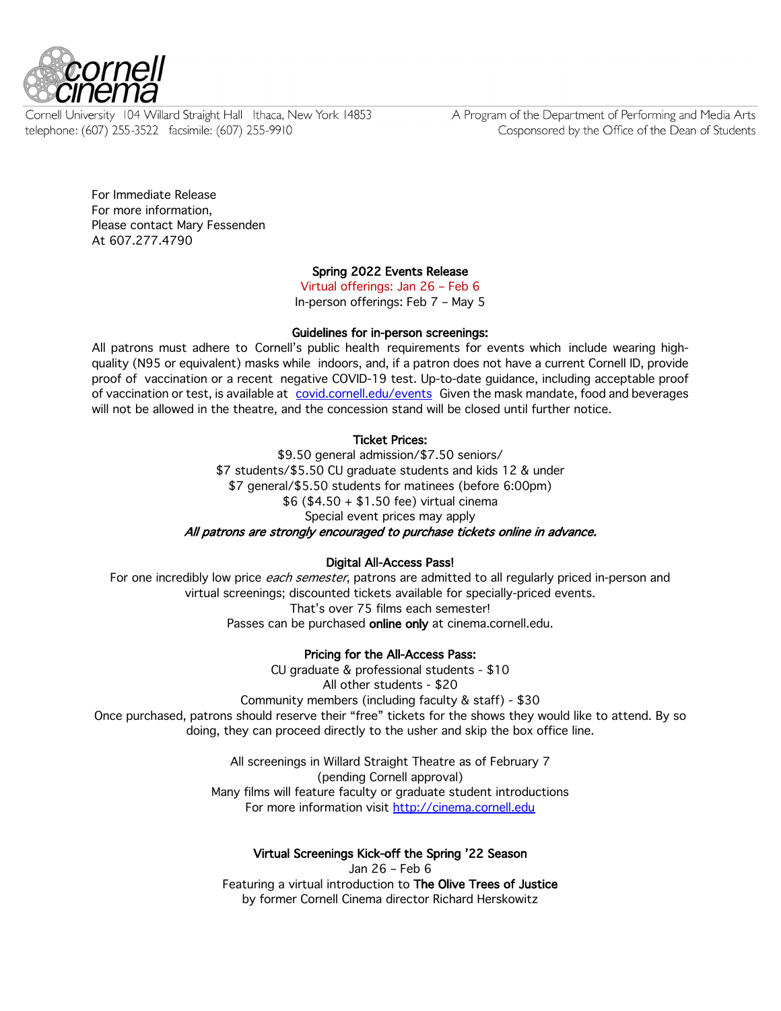

Cornell University 104 Willard Straight Hall Ithaca, New York 14853 telephone: (607) 255-3522 facsimile: (607) 255-9910

A Program of the Department of Performing and Media Arts Cosponsored by the Office of the Dean of Students

For Immediate Release For more information, Please contact Mary Fessenden At 607.277.4790

# Spring 2022 Events Release

Virtual offerings: Jan 26 – Feb 6 In-person offerings: Feb 7 – May 5

## Guidelines for in-person screenings:

All patrons must adhere to Cornell's public health requirements for events which include wearing highquality (N95 or equivalent) masks while indoors, and, if a patron does not have a current Cornell ID, provide proof of vaccination or a recent negative COVID-19 test. Up-to-date guidance, including acceptable proof of vaccination or test, is available at covid.cornell.edu/events Given the mask mandate, food and beverages will not be allowed in the theatre, and the concession stand will be closed until further notice.

## Ticket Prices:

\$9.50 general admission/\$7.50 seniors/ \$7 students/\$5.50 CU graduate students and kids 12 & under \$7 general/\$5.50 students for matinees (before 6:00pm) \$6 (\$4.50 + \$1.50 fee) virtual cinema Special event prices may apply All patrons are strongly encouraged to purchase tickets online in advance.

## Digital All-Access Pass!

For one incredibly low price *each semester*, patrons are admitted to all regularly priced in-person and virtual screenings; discounted tickets available for specially-priced events. That's over 75 films each semester! Passes can be purchased online only at cinema.cornell.edu.

### Pricing for the All-Access Pass:

CU graduate & professional students - \$10 All other students - \$20 Community members (including faculty & staff) - \$30 Once purchased, patrons should reserve their "free" tickets for the shows they would like to attend. By so doing, they can proceed directly to the usher and skip the box office line.

> All screenings in Willard Straight Theatre as of February 7 (pending Cornell approval) Many films will feature faculty or graduate student introductions For more information visit http://cinema.cornell.edu

### Virtual Screenings Kick-off the Spring '22 Season

Jan 26 – Feb 6 Featuring a virtual introduction to The Olive Trees of Justice by former Cornell Cinema director Richard Herskowitz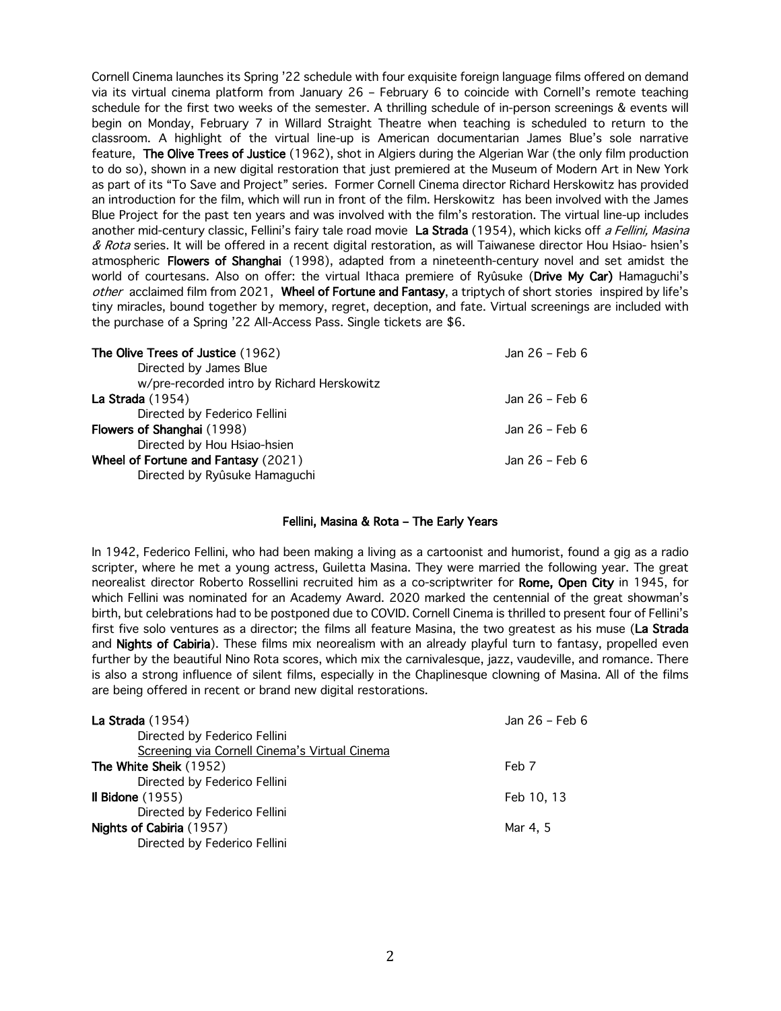Cornell Cinema launches its Spring '22 schedule with four exquisite foreign language films offered on demand via its virtual cinema platform from January 26 – February 6 to coincide with Cornell's remote teaching schedule for the first two weeks of the semester. A thrilling schedule of in-person screenings & events will begin on Monday, February 7 in Willard Straight Theatre when teaching is scheduled to return to the classroom. A highlight of the virtual line-up is American documentarian James Blue's sole narrative feature, The Olive Trees of Justice (1962), shot in Algiers during the Algerian War (the only film production to do so), shown in a new digital restoration that just premiered at the Museum of Modern Art in New York as part of its "To Save and Project" series. Former Cornell Cinema director Richard Herskowitz has provided an introduction for the film, which will run in front of the film. Herskowitz has been involved with the James Blue Project for the past ten years and was involved with the film's restoration. The virtual line-up includes another mid-century classic, Fellini's fairy tale road movie La Strada (1954), which kicks off a Fellini, Masina & Rota series. It will be offered in a recent digital restoration, as will Taiwanese director Hou Hsiao- hsien's atmospheric Flowers of Shanghai (1998), adapted from a nineteenth-century novel and set amidst the world of courtesans. Also on offer: the virtual Ithaca premiere of Ryûsuke (Drive My Car) Hamaguchi's other acclaimed film from 2021, Wheel of Fortune and Fantasy, a triptych of short stories inspired by life's tiny miracles, bound together by memory, regret, deception, and fate. Virtual screenings are included with the purchase of a Spring '22 All-Access Pass. Single tickets are \$6.

| The Olive Trees of Justice (1962)          | Jan 26 - Feb 6 |
|--------------------------------------------|----------------|
| Directed by James Blue                     |                |
| w/pre-recorded intro by Richard Herskowitz |                |
| La Strada $(1954)$                         | Jan 26 - Feb 6 |
| Directed by Federico Fellini               |                |
| Flowers of Shanghai (1998)                 | Jan 26 - Feb 6 |
| Directed by Hou Hsiao-hsien                |                |
| Wheel of Fortune and Fantasy (2021)        | Jan 26 - Feb 6 |
| Directed by Ryûsuke Hamaguchi              |                |

## Fellini, Masina & Rota – The Early Years

In 1942, Federico Fellini, who had been making a living as a cartoonist and humorist, found a gig as a radio scripter, where he met a young actress, Guiletta Masina. They were married the following year. The great neorealist director Roberto Rossellini recruited him as a co-scriptwriter for Rome, Open City in 1945, for which Fellini was nominated for an Academy Award. 2020 marked the centennial of the great showman's birth, but celebrations had to be postponed due to COVID. Cornell Cinema is thrilled to present four of Fellini's first five solo ventures as a director; the films all feature Masina, the two greatest as his muse (La Strada and Nights of Cabiria). These films mix neorealism with an already playful turn to fantasy, propelled even further by the beautiful Nino Rota scores, which mix the carnivalesque, jazz, vaudeville, and romance. There is also a strong influence of silent films, especially in the Chaplinesque clowning of Masina. All of the films are being offered in recent or brand new digital restorations.

| La Strada $(1954)$                            | Jan 26 - Feb 6 |
|-----------------------------------------------|----------------|
| Directed by Federico Fellini                  |                |
| Screening via Cornell Cinema's Virtual Cinema |                |
| The White Sheik (1952)                        | Feb 7          |
| Directed by Federico Fellini                  |                |
| Il Bidone $(1955)$                            | Feb 10, 13     |
| Directed by Federico Fellini                  |                |
| Nights of Cabiria (1957)                      | Mar 4, 5       |
| Directed by Federico Fellini                  |                |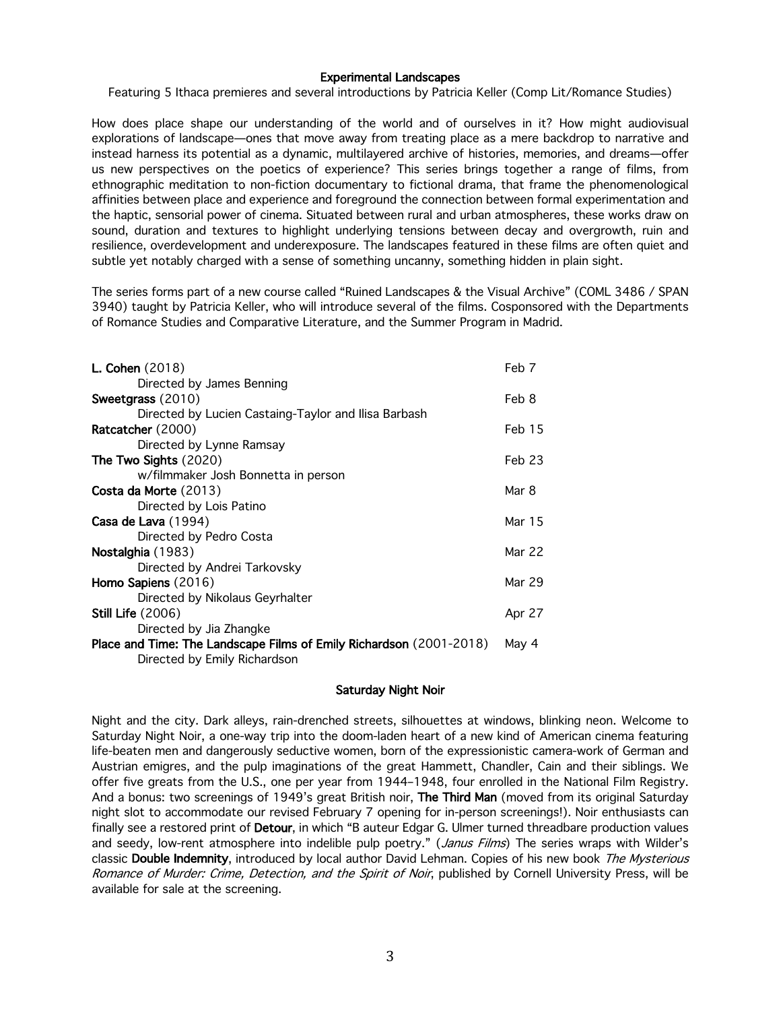### Experimental Landscapes

Featuring 5 Ithaca premieres and several introductions by Patricia Keller (Comp Lit/Romance Studies)

How does place shape our understanding of the world and of ourselves in it? How might audiovisual explorations of landscape—ones that move away from treating place as a mere backdrop to narrative and instead harness its potential as a dynamic, multilayered archive of histories, memories, and dreams—offer us new perspectives on the poetics of experience? This series brings together a range of films, from ethnographic meditation to non-fiction documentary to fictional drama, that frame the phenomenological affinities between place and experience and foreground the connection between formal experimentation and the haptic, sensorial power of cinema. Situated between rural and urban atmospheres, these works draw on sound, duration and textures to highlight underlying tensions between decay and overgrowth, ruin and resilience, overdevelopment and underexposure. The landscapes featured in these films are often quiet and subtle yet notably charged with a sense of something uncanny, something hidden in plain sight.

The series forms part of a new course called "Ruined Landscapes & the Visual Archive" (COML 3486 / SPAN 3940) taught by Patricia Keller, who will introduce several of the films. Cosponsored with the Departments of Romance Studies and Comparative Literature, and the Summer Program in Madrid.

| L. Cohen $(2018)$                                                   | Feb 7    |
|---------------------------------------------------------------------|----------|
| Directed by James Benning                                           |          |
| Sweetgrass (2010)                                                   | Feb 8    |
| Directed by Lucien Castaing-Taylor and Ilisa Barbash                |          |
| Ratcatcher (2000)                                                   | Feb 15   |
| Directed by Lynne Ramsay                                            |          |
| The Two Sights $(2020)$                                             | $Feb$ 23 |
| w/filmmaker Josh Bonnetta in person                                 |          |
| Costa da Morte (2013)                                               | Mar 8    |
| Directed by Lois Patino                                             |          |
| Casa de Lava (1994)                                                 | Mar 15   |
| Directed by Pedro Costa                                             |          |
| Nostalghia (1983)                                                   | Mar 22   |
| Directed by Andrei Tarkovsky                                        |          |
| Homo Sapiens (2016)                                                 | Mar 29   |
| Directed by Nikolaus Geyrhalter                                     |          |
| <b>Still Life</b> (2006)                                            | Apr 27   |
| Directed by Jia Zhangke                                             |          |
| Place and Time: The Landscape Films of Emily Richardson (2001-2018) | May 4    |
| Directed by Emily Richardson                                        |          |
|                                                                     |          |

### Saturday Night Noir

Night and the city. Dark alleys, rain-drenched streets, silhouettes at windows, blinking neon. Welcome to Saturday Night Noir, a one-way trip into the doom-laden heart of a new kind of American cinema featuring life-beaten men and dangerously seductive women, born of the expressionistic camera-work of German and Austrian emigres, and the pulp imaginations of the great Hammett, Chandler, Cain and their siblings. We offer five greats from the U.S., one per year from 1944–1948, four enrolled in the National Film Registry. And a bonus: two screenings of 1949's great British noir, The Third Man (moved from its original Saturday night slot to accommodate our revised February 7 opening for in-person screenings!). Noir enthusiasts can finally see a restored print of **Detour**, in which "B auteur Edgar G. Ulmer turned threadbare production values and seedy, low-rent atmosphere into indelible pulp poetry." (Janus Films) The series wraps with Wilder's classic Double Indemnity, introduced by local author David Lehman. Copies of his new book The Mysterious Romance of Murder: Crime, Detection, and the Spirit of Noir, published by Cornell University Press, will be available for sale at the screening.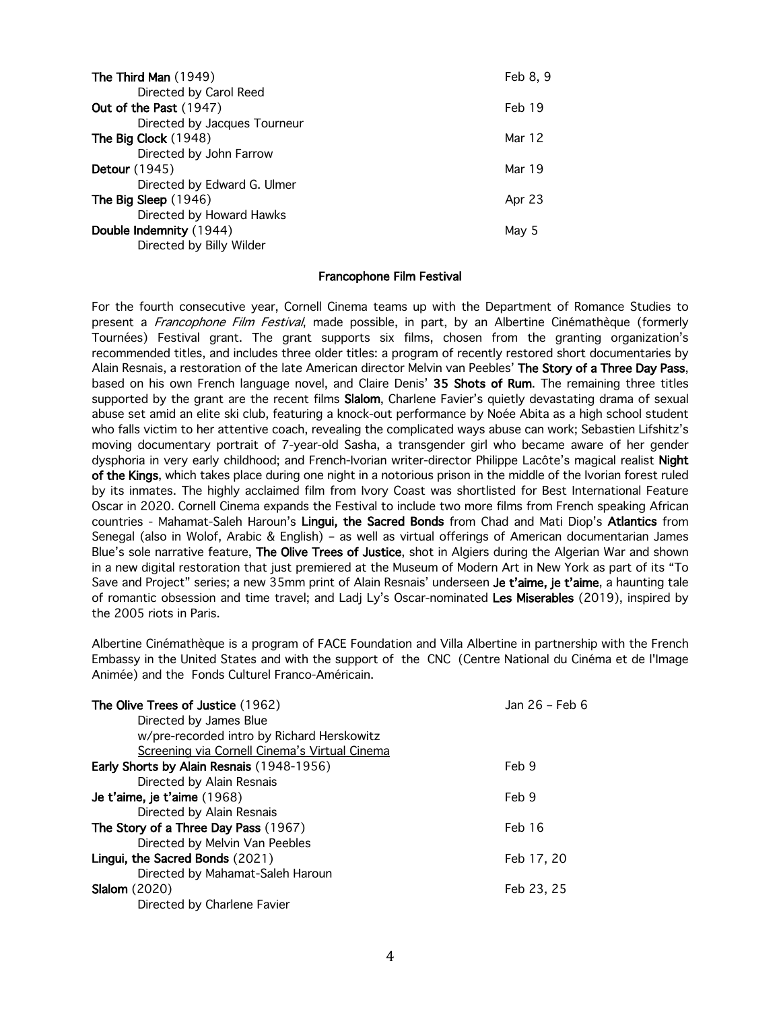| The Third Man (1949)         | Feb 8, 9 |
|------------------------------|----------|
| Directed by Carol Reed       |          |
| Out of the Past (1947)       | Feb 19   |
| Directed by Jacques Tourneur |          |
| The Big Clock (1948)         | Mar 12   |
| Directed by John Farrow      |          |
| <b>Detour</b> (1945)         | Mar 19   |
| Directed by Edward G. Ulmer  |          |
| The Big Sleep (1946)         | Apr 23   |
| Directed by Howard Hawks     |          |
| Double Indemnity (1944)      | May 5    |
| Directed by Billy Wilder     |          |
|                              |          |

### Francophone Film Festival

For the fourth consecutive year, Cornell Cinema teams up with the Department of Romance Studies to present a Francophone Film Festival, made possible, in part, by an Albertine Cinémathèque (formerly Tournées) Festival grant. The grant supports six films, chosen from the granting organization's recommended titles, and includes three older titles: a program of recently restored short documentaries by Alain Resnais, a restoration of the late American director Melvin van Peebles' The Story of a Three Day Pass, based on his own French language novel, and Claire Denis' 35 Shots of Rum. The remaining three titles supported by the grant are the recent films Slalom, Charlene Favier's quietly devastating drama of sexual abuse set amid an elite ski club, featuring a knock-out performance by Noée Abita as a high school student who falls victim to her attentive coach, revealing the complicated ways abuse can work; Sebastien Lifshitz's moving documentary portrait of 7-year-old Sasha, a transgender girl who became aware of her gender dysphoria in very early childhood; and French-Ivorian writer-director Philippe Lacôte's magical realist Night of the Kings, which takes place during one night in a notorious prison in the middle of the Ivorian forest ruled by its inmates. The highly acclaimed film from Ivory Coast was shortlisted for Best International Feature Oscar in 2020. Cornell Cinema expands the Festival to include two more films from French speaking African countries - Mahamat-Saleh Haroun's Lingui, the Sacred Bonds from Chad and Mati Diop's Atlantics from Senegal (also in Wolof, Arabic & English) – as well as virtual offerings of American documentarian James Blue's sole narrative feature, The Olive Trees of Justice, shot in Algiers during the Algerian War and shown in a new digital restoration that just premiered at the Museum of Modern Art in New York as part of its "To Save and Project" series; a new 35mm print of Alain Resnais' underseen Je t'aime, je t'aime, a haunting tale of romantic obsession and time travel; and Ladj Ly's Oscar-nominated Les Miserables (2019), inspired by the 2005 riots in Paris.

Albertine Cinémathèque is a program of FACE Foundation and Villa Albertine in partnership with the French Embassy in the United States and with the support of the CNC (Centre National du Cinéma et de l'Image Animée) and the Fonds Culturel Franco-Américain.

| The Olive Trees of Justice (1962)             | Jan 26 – Feb 6 |
|-----------------------------------------------|----------------|
| Directed by James Blue                        |                |
| w/pre-recorded intro by Richard Herskowitz    |                |
| Screening via Cornell Cinema's Virtual Cinema |                |
| Early Shorts by Alain Resnais (1948-1956)     | Feb 9          |
| Directed by Alain Resnais                     |                |
| Je t'aime, je t'aime (1968)                   | Feb 9          |
| Directed by Alain Resnais                     |                |
| The Story of a Three Day Pass (1967)          | Feb 16         |
| Directed by Melvin Van Peebles                |                |
| Lingui, the Sacred Bonds (2021)               | Feb 17, 20     |
| Directed by Mahamat-Saleh Haroun              |                |
| <b>Slalom</b> (2020)                          | Feb 23, 25     |
| Directed by Charlene Favier                   |                |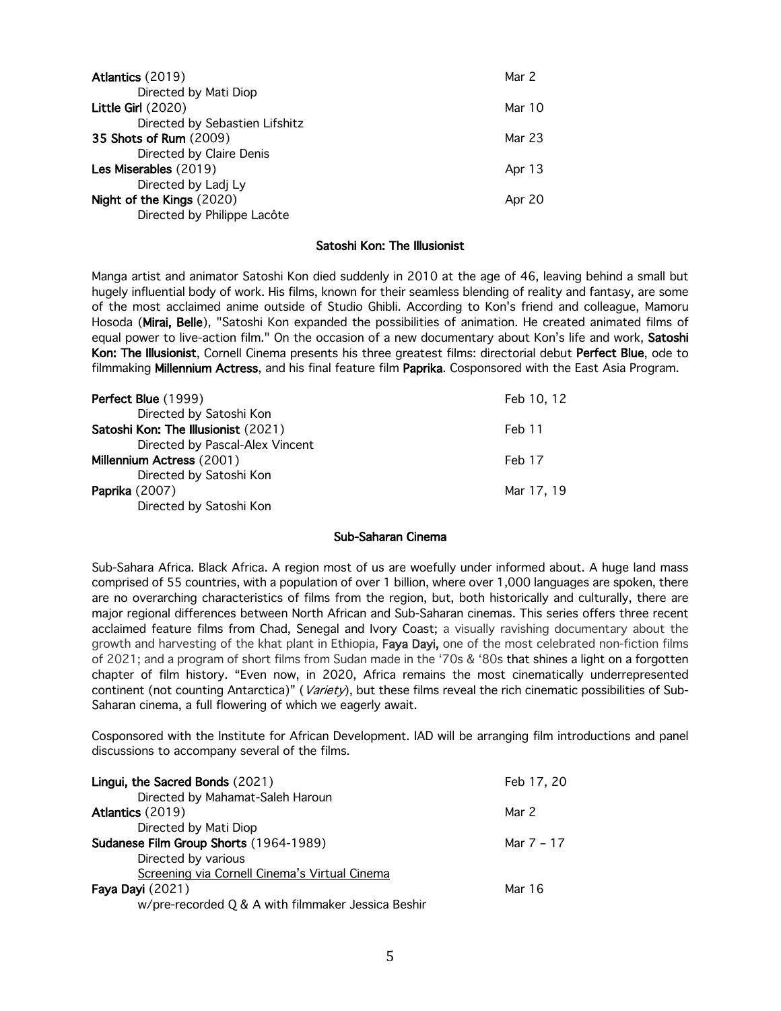| Atlantics (2019)               | Mar 2  |
|--------------------------------|--------|
| Directed by Mati Diop          |        |
| Little Girl $(2020)$           | Mar 10 |
| Directed by Sebastien Lifshitz |        |
| <b>35 Shots of Rum (2009)</b>  | Mar 23 |
| Directed by Claire Denis       |        |
| Les Miserables (2019)          | Apr 13 |
| Directed by Ladj Ly            |        |
| Night of the Kings (2020)      | Apr 20 |
| Directed by Philippe Lacôte    |        |
|                                |        |

### Satoshi Kon: The Illusionist

Manga artist and animator Satoshi Kon died suddenly in 2010 at the age of 46, leaving behind a small but hugely influential body of work. His films, known for their seamless blending of reality and fantasy, are some of the most acclaimed anime outside of Studio Ghibli. According to Kon's friend and colleague, Mamoru Hosoda (Mirai, Belle), "Satoshi Kon expanded the possibilities of animation. He created animated films of equal power to live-action film." On the occasion of a new documentary about Kon's life and work, Satoshi Kon: The Illusionist, Cornell Cinema presents his three greatest films: directorial debut Perfect Blue, ode to filmmaking Millennium Actress, and his final feature film Paprika. Cosponsored with the East Asia Program.

| Perfect Blue (1999)                 | Feb 10, 12 |
|-------------------------------------|------------|
| Directed by Satoshi Kon             |            |
| Satoshi Kon: The Illusionist (2021) | Feb 11     |
| Directed by Pascal-Alex Vincent     |            |
| Millennium Actress (2001)           | Feb 17     |
| Directed by Satoshi Kon             |            |
| <b>Paprika</b> (2007)               | Mar 17, 19 |
| Directed by Satoshi Kon             |            |

# Sub-Saharan Cinema

Sub-Sahara Africa. Black Africa. A region most of us are woefully under informed about. A huge land mass comprised of 55 countries, with a population of over 1 billion, where over 1,000 languages are spoken, there are no overarching characteristics of films from the region, but, both historically and culturally, there are major regional differences between North African and Sub-Saharan cinemas. This series offers three recent acclaimed feature films from Chad, Senegal and Ivory Coast; a visually ravishing documentary about the growth and harvesting of the khat plant in Ethiopia, Faya Dayi, one of the most celebrated non-fiction films of 2021; and a program of short films from Sudan made in the '70s & '80s that shines a light on a forgotten chapter of film history. "Even now, in 2020, Africa remains the most cinematically underrepresented continent (not counting Antarctica)" (Variety), but these films reveal the rich cinematic possibilities of Sub-Saharan cinema, a full flowering of which we eagerly await.

Cosponsored with the Institute for African Development. IAD will be arranging film introductions and panel discussions to accompany several of the films.

| Lingui, the Sacred Bonds (2021)                    | Feb 17, 20 |
|----------------------------------------------------|------------|
| Directed by Mahamat-Saleh Haroun                   |            |
| Atlantics (2019)                                   | Mar 2      |
| Directed by Mati Diop                              |            |
| Sudanese Film Group Shorts (1964-1989)             | Mar 7 - 17 |
| Directed by various                                |            |
| Screening via Cornell Cinema's Virtual Cinema      |            |
| Faya Dayi $(2021)$                                 | Mar 16     |
| w/pre-recorded Q & A with filmmaker Jessica Beshir |            |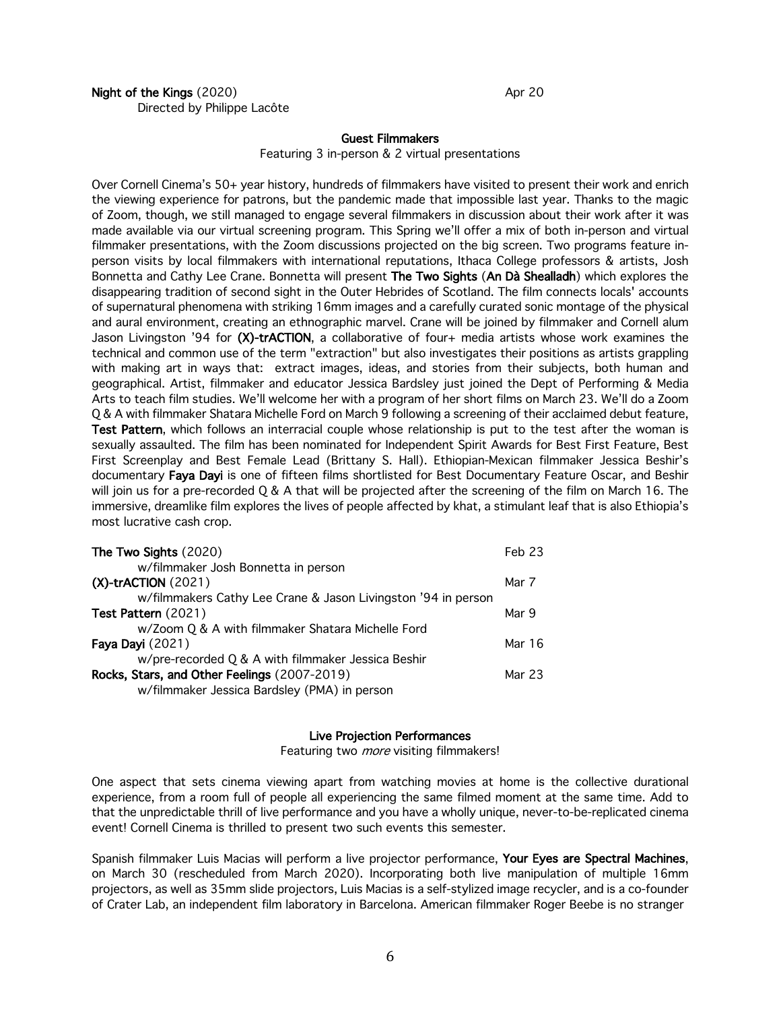## Night of the Kings (2020) Apr 20 Directed by Philippe Lacôte

### Guest Filmmakers

Featuring 3 in-person & 2 virtual presentations

Over Cornell Cinema's 50+ year history, hundreds of filmmakers have visited to present their work and enrich the viewing experience for patrons, but the pandemic made that impossible last year. Thanks to the magic of Zoom, though, we still managed to engage several filmmakers in discussion about their work after it was made available via our virtual screening program. This Spring we'll offer a mix of both in-person and virtual filmmaker presentations, with the Zoom discussions projected on the big screen. Two programs feature inperson visits by local filmmakers with international reputations, Ithaca College professors & artists, Josh Bonnetta and Cathy Lee Crane. Bonnetta will present The Two Sights (An Dà Shealladh) which explores the disappearing tradition of second sight in the Outer Hebrides of Scotland. The film connects locals' accounts of supernatural phenomena with striking 16mm images and a carefully curated sonic montage of the physical and aural environment, creating an ethnographic marvel. Crane will be joined by filmmaker and Cornell alum Jason Livingston '94 for (X)-trACTION, a collaborative of four+ media artists whose work examines the technical and common use of the term "extraction" but also investigates their positions as artists grappling with making art in ways that: extract images, ideas, and stories from their subjects, both human and geographical. Artist, filmmaker and educator Jessica Bardsley just joined the Dept of Performing & Media Arts to teach film studies. We'll welcome her with a program of her short films on March 23. We'll do a Zoom Q & A with filmmaker Shatara Michelle Ford on March 9 following a screening of their acclaimed debut feature, Test Pattern, which follows an interracial couple whose relationship is put to the test after the woman is sexually assaulted. The film has been nominated for Independent Spirit Awards for Best First Feature, Best First Screenplay and Best Female Lead (Brittany S. Hall). Ethiopian-Mexican filmmaker Jessica Beshir's documentary Faya Dayi is one of fifteen films shortlisted for Best Documentary Feature Oscar, and Beshir will join us for a pre-recorded Q & A that will be projected after the screening of the film on March 16. The immersive, dreamlike film explores the lives of people affected by khat, a stimulant leaf that is also Ethiopia's most lucrative cash crop.

| The Two Sights (2020)                                         | Feb 23 |
|---------------------------------------------------------------|--------|
| w/filmmaker Josh Bonnetta in person                           |        |
| $(X)$ -trACTION $(2021)$                                      | Mar 7  |
| w/filmmakers Cathy Lee Crane & Jason Livingston '94 in person |        |
| <b>Test Pattern</b> (2021)                                    | Mar 9  |
| w/Zoom Q & A with filmmaker Shatara Michelle Ford             |        |
| Faya Dayi (2021)                                              | Mar 16 |
| w/pre-recorded Q & A with filmmaker Jessica Beshir            |        |
| Rocks, Stars, and Other Feelings (2007-2019)                  | Mar 23 |
| w/filmmaker Jessica Bardsley (PMA) in person                  |        |

## Live Projection Performances

Featuring two *more* visiting filmmakers!

One aspect that sets cinema viewing apart from watching movies at home is the collective durational experience, from a room full of people all experiencing the same filmed moment at the same time. Add to that the unpredictable thrill of live performance and you have a wholly unique, never-to-be-replicated cinema event! Cornell Cinema is thrilled to present two such events this semester.

Spanish filmmaker Luis Macias will perform a live projector performance, Your Eyes are Spectral Machines, on March 30 (rescheduled from March 2020). Incorporating both live manipulation of multiple 16mm projectors, as well as 35mm slide projectors, Luis Macias is a self-stylized image recycler, and is a co-founder of Crater Lab, an independent film laboratory in Barcelona. American filmmaker Roger Beebe is no stranger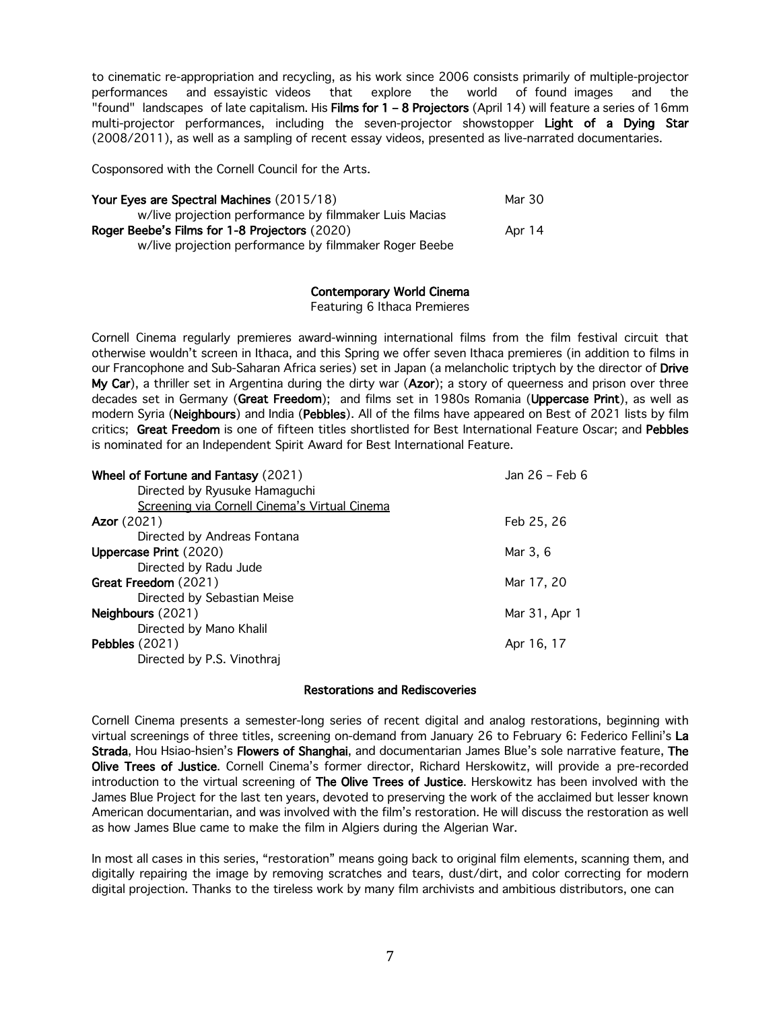to cinematic re-appropriation and recycling, as his work since 2006 consists primarily of multiple-projector performances and essayistic videos that explore the world of found images and the "found" landscapes of late capitalism. His Films for 1 - 8 Projectors (April 14) will feature a series of 16mm multi-projector performances, including the seven-projector showstopper Light of a Dying Star (2008/2011), as well as a sampling of recent essay videos, presented as live-narrated documentaries.

Cosponsored with the Cornell Council for the Arts.

| Your Eyes are Spectral Machines (2015/18)              | Mar 30 |
|--------------------------------------------------------|--------|
| w/live projection performance by filmmaker Luis Macias |        |
| Roger Beebe's Films for 1-8 Projectors (2020)          | Apr 14 |
| w/live projection performance by filmmaker Roger Beebe |        |

# Contemporary World Cinema

Featuring 6 Ithaca Premieres

Cornell Cinema regularly premieres award-winning international films from the film festival circuit that otherwise wouldn't screen in Ithaca, and this Spring we offer seven Ithaca premieres (in addition to films in our Francophone and Sub-Saharan Africa series) set in Japan (a melancholic triptych by the director of Drive My Car), a thriller set in Argentina during the dirty war (Azor); a story of queerness and prison over three decades set in Germany (Great Freedom); and films set in 1980s Romania (Uppercase Print), as well as modern Syria (Neighbours) and India (Pebbles). All of the films have appeared on Best of 2021 lists by film critics; Great Freedom is one of fifteen titles shortlisted for Best International Feature Oscar; and Pebbles is nominated for an Independent Spirit Award for Best International Feature.

| Jan 26 - Feb 6 |
|----------------|
|                |
|                |
| Feb 25, 26     |
|                |
| Mar 3, 6       |
|                |
| Mar 17, 20     |
|                |
| Mar 31, Apr 1  |
|                |
| Apr 16, 17     |
|                |
|                |

## Restorations and Rediscoveries

Cornell Cinema presents a semester-long series of recent digital and analog restorations, beginning with virtual screenings of three titles, screening on-demand from January 26 to February 6: Federico Fellini's La Strada, Hou Hsiao-hsien's Flowers of Shanghai, and documentarian James Blue's sole narrative feature, The Olive Trees of Justice. Cornell Cinema's former director, Richard Herskowitz, will provide a pre-recorded introduction to the virtual screening of The Olive Trees of Justice. Herskowitz has been involved with the James Blue Project for the last ten years, devoted to preserving the work of the acclaimed but lesser known American documentarian, and was involved with the film's restoration. He will discuss the restoration as well as how James Blue came to make the film in Algiers during the Algerian War.

In most all cases in this series, "restoration" means going back to original film elements, scanning them, and digitally repairing the image by removing scratches and tears, dust/dirt, and color correcting for modern digital projection. Thanks to the tireless work by many film archivists and ambitious distributors, one can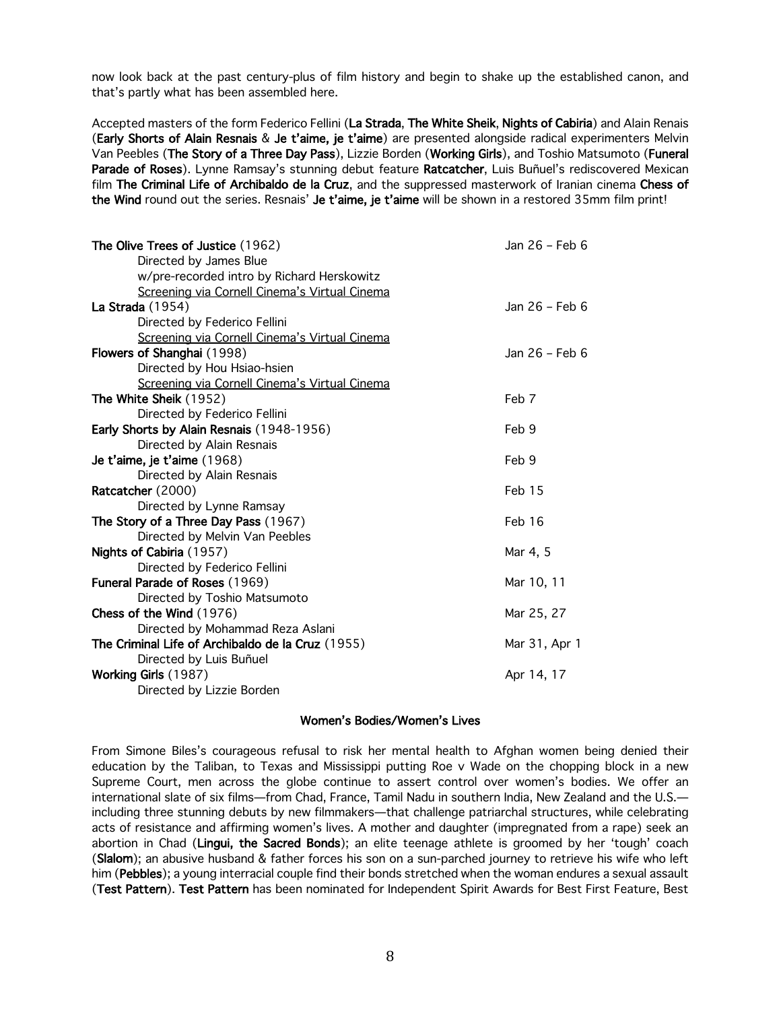now look back at the past century-plus of film history and begin to shake up the established canon, and that's partly what has been assembled here.

Accepted masters of the form Federico Fellini (La Strada, The White Sheik, Nights of Cabiria) and Alain Renais (Early Shorts of Alain Resnais & Je t'aime, je t'aime) are presented alongside radical experimenters Melvin Van Peebles (The Story of a Three Day Pass), Lizzie Borden (Working Girls), and Toshio Matsumoto (Funeral Parade of Roses). Lynne Ramsay's stunning debut feature Ratcatcher, Luis Buñuel's rediscovered Mexican film The Criminal Life of Archibaldo de la Cruz, and the suppressed masterwork of Iranian cinema Chess of the Wind round out the series. Resnais' Je t'aime, je t'aime will be shown in a restored 35mm film print!

| The Olive Trees of Justice (1962)                 | Jan 26 - Feb 6 |
|---------------------------------------------------|----------------|
| Directed by James Blue                            |                |
| w/pre-recorded intro by Richard Herskowitz        |                |
| Screening via Cornell Cinema's Virtual Cinema     |                |
| <b>La Strada</b> (1954)                           | Jan 26 - Feb 6 |
| Directed by Federico Fellini                      |                |
| Screening via Cornell Cinema's Virtual Cinema     |                |
| Flowers of Shanghai (1998)                        | Jan 26 - Feb 6 |
| Directed by Hou Hsiao-hsien                       |                |
| Screening via Cornell Cinema's Virtual Cinema     |                |
| The White Sheik (1952)                            | Feb 7          |
| Directed by Federico Fellini                      |                |
| Early Shorts by Alain Resnais (1948-1956)         | Feb 9          |
| Directed by Alain Resnais                         |                |
| Je t'aime, je t'aime (1968)                       | Feb 9          |
| Directed by Alain Resnais                         |                |
| Ratcatcher (2000)                                 | Feb 15         |
| Directed by Lynne Ramsay                          |                |
| The Story of a Three Day Pass (1967)              | Feb 16         |
| Directed by Melvin Van Peebles                    |                |
| Nights of Cabiria (1957)                          | Mar 4, 5       |
| Directed by Federico Fellini                      |                |
| Funeral Parade of Roses (1969)                    | Mar 10, 11     |
| Directed by Toshio Matsumoto                      |                |
| Chess of the Wind (1976)                          | Mar 25, 27     |
| Directed by Mohammad Reza Aslani                  |                |
| The Criminal Life of Archibaldo de la Cruz (1955) | Mar 31, Apr 1  |
| Directed by Luis Buñuel                           |                |
| Working Girls (1987)                              | Apr 14, 17     |
| Directed by Lizzie Borden                         |                |

### Women's Bodies/Women's Lives

From Simone Biles's courageous refusal to risk her mental health to Afghan women being denied their education by the Taliban, to Texas and Mississippi putting Roe v Wade on the chopping block in a new Supreme Court, men across the globe continue to assert control over women's bodies. We offer an international slate of six films—from Chad, France, Tamil Nadu in southern India, New Zealand and the U.S. including three stunning debuts by new filmmakers—that challenge patriarchal structures, while celebrating acts of resistance and affirming women's lives. A mother and daughter (impregnated from a rape) seek an abortion in Chad (Lingui, the Sacred Bonds); an elite teenage athlete is groomed by her 'tough' coach (Slalom); an abusive husband & father forces his son on a sun-parched journey to retrieve his wife who left him (Pebbles); a young interracial couple find their bonds stretched when the woman endures a sexual assault (Test Pattern). Test Pattern has been nominated for Independent Spirit Awards for Best First Feature, Best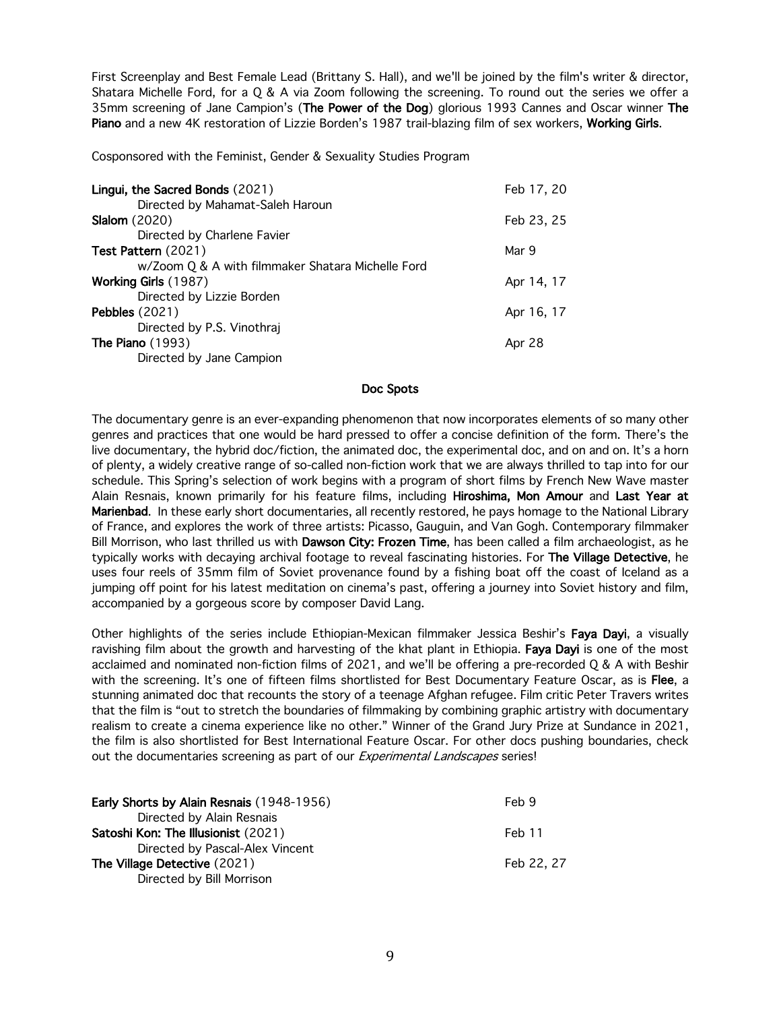First Screenplay and Best Female Lead (Brittany S. Hall), and we'll be joined by the film's writer & director, Shatara Michelle Ford, for a Q & A via Zoom following the screening. To round out the series we offer a 35mm screening of Jane Campion's (The Power of the Dog) glorious 1993 Cannes and Oscar winner The Piano and a new 4K restoration of Lizzie Borden's 1987 trail-blazing film of sex workers, Working Girls.

Cosponsored with the Feminist, Gender & Sexuality Studies Program

| Lingui, the Sacred Bonds (2021)                   | Feb 17, 20 |
|---------------------------------------------------|------------|
| Directed by Mahamat-Saleh Haroun                  |            |
| <b>Slalom</b> (2020)                              | Feb 23, 25 |
| Directed by Charlene Favier                       |            |
| Test Pattern (2021)                               | Mar 9      |
| w/Zoom Q & A with filmmaker Shatara Michelle Ford |            |
| <b>Working Girls (1987)</b>                       | Apr 14, 17 |
| Directed by Lizzie Borden                         |            |
| <b>Pebbles</b> (2021)                             | Apr 16, 17 |
| Directed by P.S. Vinothraj                        |            |
| The Piano $(1993)$                                | Apr 28     |
| Directed by Jane Campion                          |            |

## Doc Spots

The documentary genre is an ever-expanding phenomenon that now incorporates elements of so many other genres and practices that one would be hard pressed to offer a concise definition of the form. There's the live documentary, the hybrid doc/fiction, the animated doc, the experimental doc, and on and on. It's a horn of plenty, a widely creative range of so-called non-fiction work that we are always thrilled to tap into for our schedule. This Spring's selection of work begins with a program of short films by French New Wave master Alain Resnais, known primarily for his feature films, including Hiroshima, Mon Amour and Last Year at Marienbad. In these early short documentaries, all recently restored, he pays homage to the National Library of France, and explores the work of three artists: Picasso, Gauguin, and Van Gogh. Contemporary filmmaker Bill Morrison, who last thrilled us with Dawson City: Frozen Time, has been called a film archaeologist, as he typically works with decaying archival footage to reveal fascinating histories. For The Village Detective, he uses four reels of 35mm film of Soviet provenance found by a fishing boat off the coast of Iceland as a jumping off point for his latest meditation on cinema's past, offering a journey into Soviet history and film, accompanied by a gorgeous score by composer David Lang.

Other highlights of the series include Ethiopian-Mexican filmmaker Jessica Beshir's Faya Dayi, a visually ravishing film about the growth and harvesting of the khat plant in Ethiopia. Faya Dayi is one of the most acclaimed and nominated non-fiction films of 2021, and we'll be offering a pre-recorded Q & A with Beshir with the screening. It's one of fifteen films shortlisted for Best Documentary Feature Oscar, as is Flee, a stunning animated doc that recounts the story of a teenage Afghan refugee. Film critic Peter Travers writes that the film is "out to stretch the boundaries of filmmaking by combining graphic artistry with documentary realism to create a cinema experience like no other." Winner of the Grand Jury Prize at Sundance in 2021, the film is also shortlisted for Best International Feature Oscar. For other docs pushing boundaries, check out the documentaries screening as part of our *Experimental Landscapes* series!

| <b>Early Shorts by Alain Resnais (1948-1956)</b> | Feb 9      |
|--------------------------------------------------|------------|
| Directed by Alain Resnais                        |            |
| Satoshi Kon: The Illusionist (2021)              | Feb 11     |
| Directed by Pascal-Alex Vincent                  |            |
| The Village Detective (2021)                     | Feb 22, 27 |
| Directed by Bill Morrison                        |            |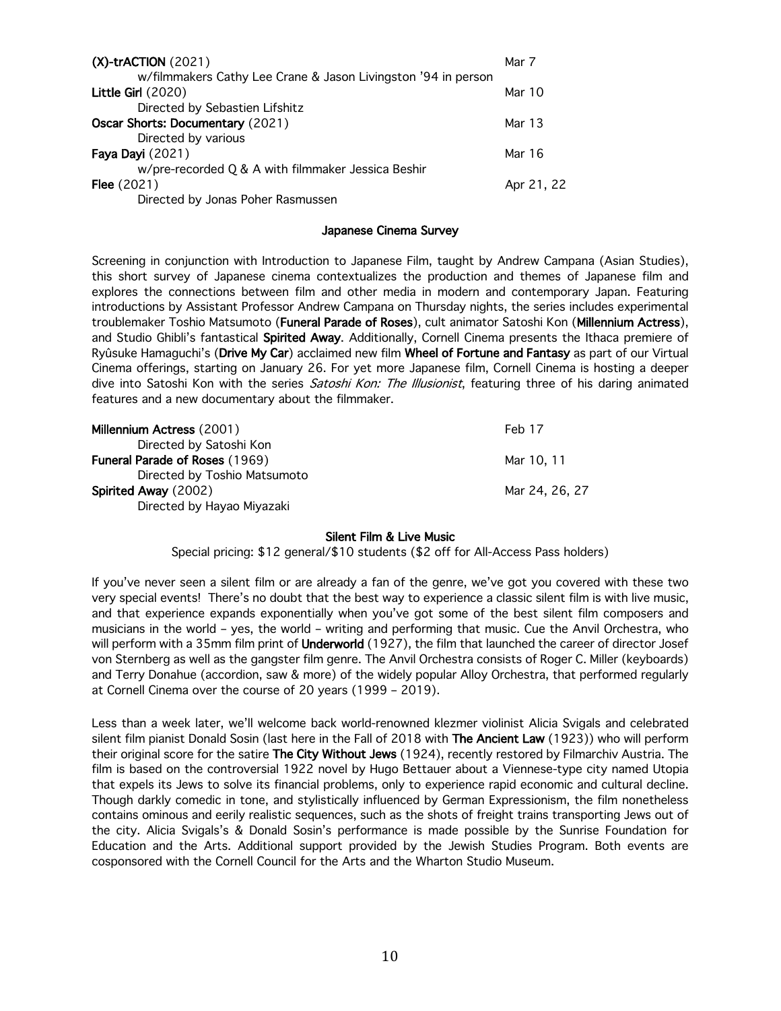| $(X)$ -trACTION (2021)                                        | Mar 7      |
|---------------------------------------------------------------|------------|
| w/filmmakers Cathy Lee Crane & Jason Livingston '94 in person |            |
| Little Girl $(2020)$                                          | Mar $10$   |
| Directed by Sebastien Lifshitz                                |            |
| Oscar Shorts: Documentary (2021)                              | Mar 13     |
| Directed by various                                           |            |
| Faya Dayi (2021)                                              | Mar 16     |
| w/pre-recorded Q & A with filmmaker Jessica Beshir            |            |
| <b>Flee</b> $(2021)$                                          | Apr 21, 22 |
| Directed by Jonas Poher Rasmussen                             |            |

### Japanese Cinema Survey

Screening in conjunction with Introduction to Japanese Film, taught by Andrew Campana (Asian Studies), this short survey of Japanese cinema contextualizes the production and themes of Japanese film and explores the connections between film and other media in modern and contemporary Japan. Featuring introductions by Assistant Professor Andrew Campana on Thursday nights, the series includes experimental troublemaker Toshio Matsumoto (Funeral Parade of Roses), cult animator Satoshi Kon (Millennium Actress), and Studio Ghibli's fantastical Spirited Away. Additionally, Cornell Cinema presents the Ithaca premiere of Ryûsuke Hamaguchi's (Drive My Car) acclaimed new film Wheel of Fortune and Fantasy as part of our Virtual Cinema offerings, starting on January 26. For yet more Japanese film, Cornell Cinema is hosting a deeper dive into Satoshi Kon with the series *Satoshi Kon: The Illusionist*, featuring three of his daring animated features and a new documentary about the filmmaker.

| Millennium Actress (2001)      | Feb 17         |
|--------------------------------|----------------|
| Directed by Satoshi Kon        |                |
| Funeral Parade of Roses (1969) | Mar 10, 11     |
| Directed by Toshio Matsumoto   |                |
| Spirited Away (2002)           | Mar 24, 26, 27 |
| Directed by Hayao Miyazaki     |                |

## Silent Film & Live Music

Special pricing: \$12 general/\$10 students (\$2 off for All-Access Pass holders)

If you've never seen a silent film or are already a fan of the genre, we've got you covered with these two very special events! There's no doubt that the best way to experience a classic silent film is with live music, and that experience expands exponentially when you've got some of the best silent film composers and musicians in the world – yes, the world – writing and performing that music. Cue the Anvil Orchestra, who will perform with a 35mm film print of Underworld (1927), the film that launched the career of director Josef von Sternberg as well as the gangster film genre. The Anvil Orchestra consists of Roger C. Miller (keyboards) and Terry Donahue (accordion, saw & more) of the widely popular Alloy Orchestra, that performed regularly at Cornell Cinema over the course of 20 years (1999 – 2019).

Less than a week later, we'll welcome back world-renowned klezmer violinist Alicia Svigals and celebrated silent film pianist Donald Sosin (last here in the Fall of 2018 with The Ancient Law (1923)) who will perform their original score for the satire The City Without Jews (1924), recently restored by Filmarchiv Austria. The film is based on the controversial 1922 novel by Hugo Bettauer about a Viennese-type city named Utopia that expels its Jews to solve its financial problems, only to experience rapid economic and cultural decline. Though darkly comedic in tone, and stylistically influenced by German Expressionism, the film nonetheless contains ominous and eerily realistic sequences, such as the shots of freight trains transporting Jews out of the city. Alicia Svigals's & Donald Sosin's performance is made possible by the Sunrise Foundation for Education and the Arts. Additional support provided by the Jewish Studies Program. Both events are cosponsored with the Cornell Council for the Arts and the Wharton Studio Museum.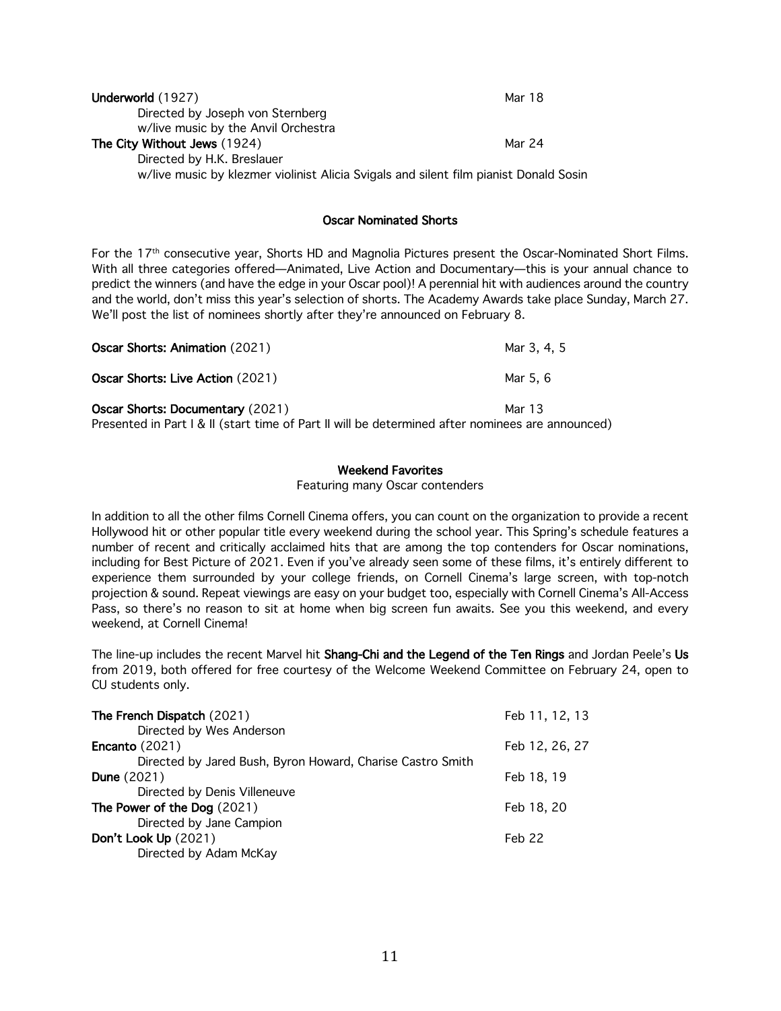| Underworld (1927)                                                                     | Mar 18 |
|---------------------------------------------------------------------------------------|--------|
| Directed by Joseph von Sternberg                                                      |        |
| w/live music by the Anvil Orchestra                                                   |        |
| The City Without Jews (1924)                                                          | Mar 24 |
| Directed by H.K. Breslauer                                                            |        |
| w/live music by klezmer violinist Alicia Svigals and silent film pianist Donald Sosin |        |

# Oscar Nominated Shorts

For the 17th consecutive year, Shorts HD and Magnolia Pictures present the Oscar-Nominated Short Films. With all three categories offered—Animated, Live Action and Documentary—this is your annual chance to predict the winners (and have the edge in your Oscar pool)! A perennial hit with audiences around the country and the world, don't miss this year's selection of shorts. The Academy Awards take place Sunday, March 27. We'll post the list of nominees shortly after they're announced on February 8.

| <b>Oscar Shorts: Animation (2021)</b>                                                            | Mar 3, 4, 5 |
|--------------------------------------------------------------------------------------------------|-------------|
| Oscar Shorts: Live Action (2021)                                                                 | Mar 5.6     |
| <b>Oscar Shorts: Documentary (2021)</b>                                                          | Mar 13      |
| Presented in Part I & II (start time of Part II will be determined after nominees are announced) |             |

# Weekend Favorites

### Featuring many Oscar contenders

In addition to all the other films Cornell Cinema offers, you can count on the organization to provide a recent Hollywood hit or other popular title every weekend during the school year. This Spring's schedule features a number of recent and critically acclaimed hits that are among the top contenders for Oscar nominations, including for Best Picture of 2021. Even if you've already seen some of these films, it's entirely different to experience them surrounded by your college friends, on Cornell Cinema's large screen, with top-notch projection & sound. Repeat viewings are easy on your budget too, especially with Cornell Cinema's All-Access Pass, so there's no reason to sit at home when big screen fun awaits. See you this weekend, and every weekend, at Cornell Cinema!

The line-up includes the recent Marvel hit Shang-Chi and the Legend of the Ten Rings and Jordan Peele's Us from 2019, both offered for free courtesy of the Welcome Weekend Committee on February 24, open to CU students only.

| The French Dispatch (2021)                                 | Feb 11, 12, 13 |
|------------------------------------------------------------|----------------|
| Directed by Wes Anderson<br>Encanto $(2021)$               | Feb 12, 26, 27 |
| Directed by Jared Bush, Byron Howard, Charise Castro Smith |                |
| <b>Dune</b> (2021)                                         | Feb 18, 19     |
| Directed by Denis Villeneuve                               |                |
| The Power of the Dog (2021)                                | Feb 18, 20     |
| Directed by Jane Campion                                   |                |
| Don't Look Up (2021)                                       | Feb 22         |
| Directed by Adam McKay                                     |                |